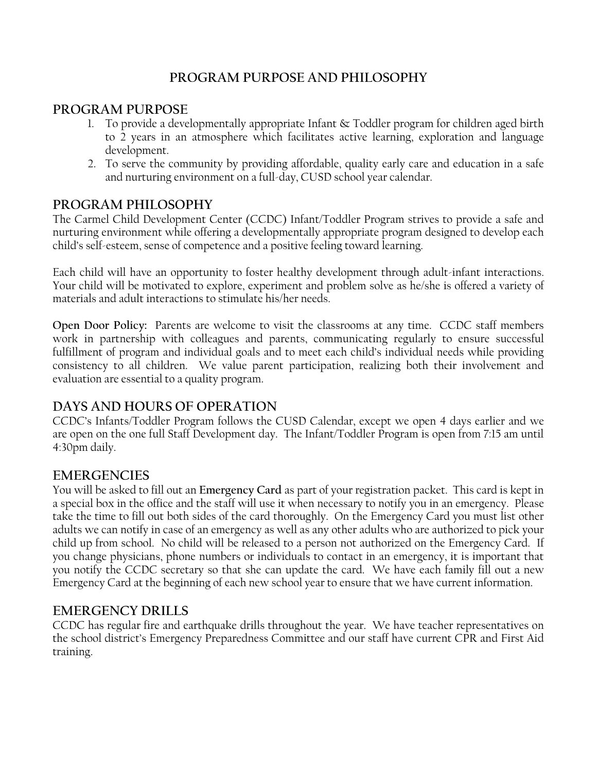# **PROGRAM PURPOSE AND PHILOSOPHY**

# **PROGRAM PURPOSE**

- 1. To provide a developmentally appropriate Infant  $\&$  Toddler program for children aged birth to 2 years in an atmosphere which facilitates active learning, exploration and language development.
- 2. To serve the community by providing affordable, quality early care and education in a safe and nurturing environment on a full-day, CUSD school year calendar.

# **PROGRAM PHILOSOPHY**

The Carmel Child Development Center (CCDC) Infant/Toddler Program strives to provide a safe and nurturing environment while offering a developmentally appropriate program designed to develop each child's self-esteem, sense of competence and a positive feeling toward learning.

Each child will have an opportunity to foster healthy development through adult-infant interactions. Your child will be motivated to explore, experiment and problem solve as he/she is offered a variety of materials and adult interactions to stimulate his/her needs.

**Open Door Policy:** Parents are welcome to visit the classrooms at any time. CCDC staff members work in partnership with colleagues and parents, communicating regularly to ensure successful fulfillment of program and individual goals and to meet each child's individual needs while providing consistency to all children. We value parent participation, realizing both their involvement and evaluation are essential to a quality program.

# **DAYS AND HOURS OF OPERATION**

CCDC's Infants/Toddler Program follows the CUSD Calendar, except we open 4 days earlier and we are open on the one full Staff Development day. The Infant/Toddler Program is open from 7:15 am until 4:30pm daily.

# **EMERGENCIES**

You will be asked to fill out an **Emergency Card** as part of your registration packet. This card is kept in a special box in the office and the staff will use it when necessary to notify you in an emergency. Please take the time to fill out both sides of the card thoroughly. On the Emergency Card you must list other adults we can notify in case of an emergency as well as any other adults who are authorized to pick your child up from school. No child will be released to a person not authorized on the Emergency Card. If you change physicians, phone numbers or individuals to contact in an emergency, it is important that you notify the CCDC secretary so that she can update the card. We have each family fill out a new Emergency Card at the beginning of each new school year to ensure that we have current information.

# **EMERGENCY DRILLS**

CCDC has regular fire and earthquake drills throughout the year. We have teacher representatives on the school district's Emergency Preparedness Committee and our staff have current CPR and First Aid training.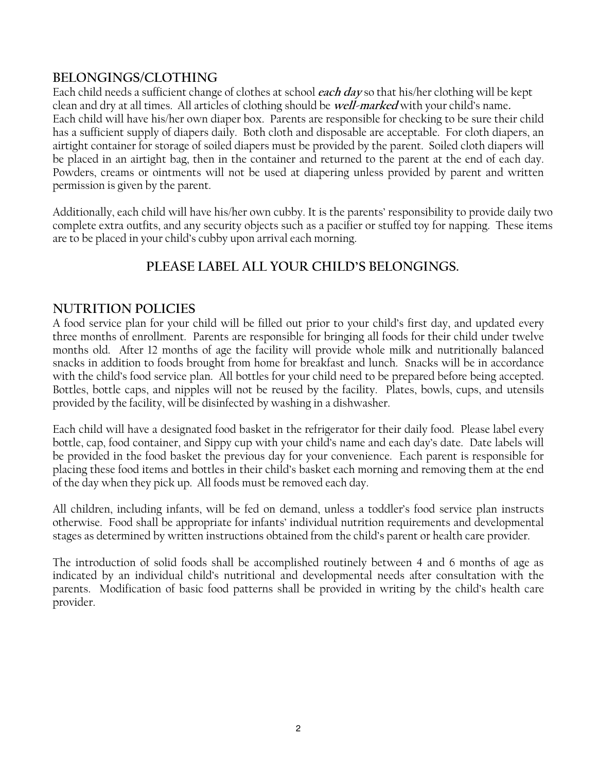# **BELONGINGS/CLOTHING**

Each child needs a sufficient change of clothes at school **each day** so that his/her clothing will be kept clean and dry at all times. All articles of clothing should be **well-marked** with your child's name**.** Each child will have his/her own diaper box. Parents are responsible for checking to be sure their child has a sufficient supply of diapers daily. Both cloth and disposable are acceptable. For cloth diapers, an airtight container for storage of soiled diapers must be provided by the parent. Soiled cloth diapers will be placed in an airtight bag, then in the container and returned to the parent at the end of each day. Powders, creams or ointments will not be used at diapering unless provided by parent and written permission is given by the parent.

Additionally, each child will have his/her own cubby. It is the parents' responsibility to provide daily two complete extra outfits, and any security objects such as a pacifier or stuffed toy for napping. These items are to be placed in your child's cubby upon arrival each morning.

# **PLEASE LABEL ALL YOUR CHILD'S BELONGINGS.**

## **NUTRITION POLICIES**

A food service plan for your child will be filled out prior to your child's first day, and updated every three months of enrollment. Parents are responsible for bringing all foods for their child under twelve months old. After 12 months of age the facility will provide whole milk and nutritionally balanced snacks in addition to foods brought from home for breakfast and lunch. Snacks will be in accordance with the child's food service plan. All bottles for your child need to be prepared before being accepted. Bottles, bottle caps, and nipples will not be reused by the facility. Plates, bowls, cups, and utensils provided by the facility, will be disinfected by washing in a dishwasher.

Each child will have a designated food basket in the refrigerator for their daily food. Please label every bottle, cap, food container, and Sippy cup with your child's name and each day's date. Date labels will be provided in the food basket the previous day for your convenience. Each parent is responsible for placing these food items and bottles in their child's basket each morning and removing them at the end of the day when they pick up. All foods must be removed each day.

All children, including infants, will be fed on demand, unless a toddler's food service plan instructs otherwise. Food shall be appropriate for infants' individual nutrition requirements and developmental stages as determined by written instructions obtained from the child's parent or health care provider.

The introduction of solid foods shall be accomplished routinely between 4 and 6 months of age as indicated by an individual child's nutritional and developmental needs after consultation with the parents. Modification of basic food patterns shall be provided in writing by the child's health care provider.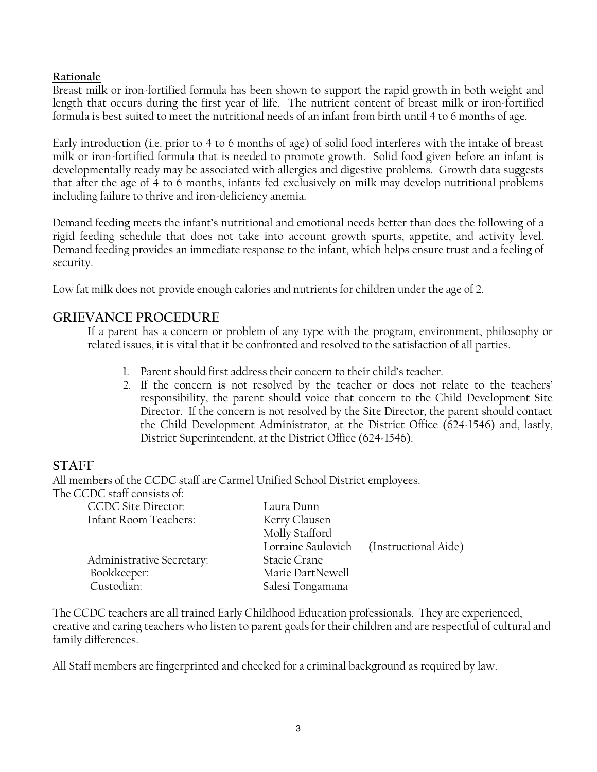### **Rationale**

Breast milk or iron-fortified formula has been shown to support the rapid growth in both weight and length that occurs during the first year of life. The nutrient content of breast milk or iron-fortified formula is best suited to meet the nutritional needs of an infant from birth until 4 to 6 months of age.

Early introduction (i.e. prior to 4 to 6 months of age) of solid food interferes with the intake of breast milk or iron-fortified formula that is needed to promote growth. Solid food given before an infant is developmentally ready may be associated with allergies and digestive problems. Growth data suggests that after the age of 4 to 6 months, infants fed exclusively on milk may develop nutritional problems including failure to thrive and iron-deficiency anemia.

Demand feeding meets the infant's nutritional and emotional needs better than does the following of a rigid feeding schedule that does not take into account growth spurts, appetite, and activity level. Demand feeding provides an immediate response to the infant, which helps ensure trust and a feeling of security.

Low fat milk does not provide enough calories and nutrients for children under the age of 2.

# **GRIEVANCE PROCEDURE**

If a parent has a concern or problem of any type with the program, environment, philosophy or related issues, it is vital that it be confronted and resolved to the satisfaction of all parties.

- 1. Parent should first address their concern to their child's teacher.
- 2. If the concern is not resolved by the teacher or does not relate to the teachers' responsibility, the parent should voice that concern to the Child Development Site Director. If the concern is not resolved by the Site Director, the parent should contact the Child Development Administrator, at the District Office (624-1546) and, lastly, District Superintendent, at the District Office (624-1546).

# **STAFF**

All members of the CCDC staff are Carmel Unified School District employees.

The CCDC staff consists of:

| Laura Dunn         |                      |
|--------------------|----------------------|
| Kerry Clausen      |                      |
| Molly Stafford     |                      |
| Lorraine Saulovich | (Instructional Aide) |
| Stacie Crane       |                      |
| Marie DartNewell   |                      |
| Salesi Tongamana   |                      |
|                    |                      |

The CCDC teachers are all trained Early Childhood Education professionals. They are experienced, creative and caring teachers who listen to parent goals for their children and are respectful of cultural and family differences.

All Staff members are fingerprinted and checked for a criminal background as required by law.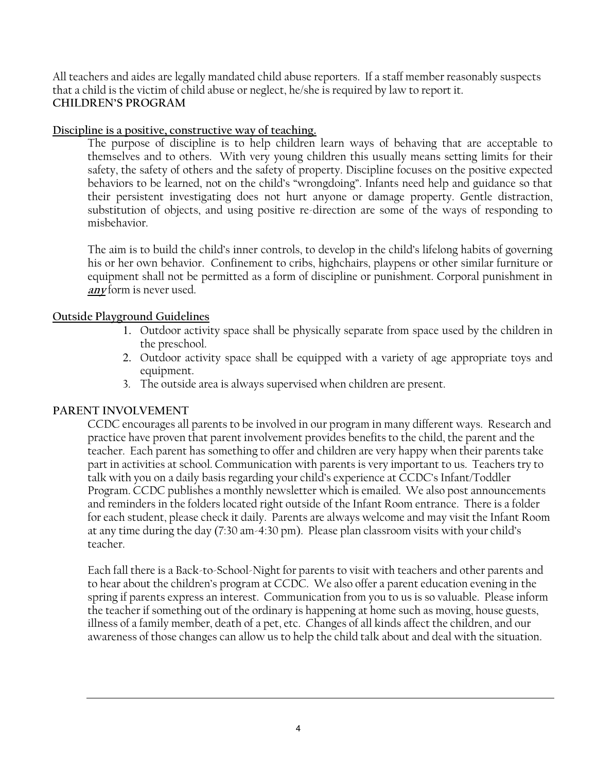All teachers and aides are legally mandated child abuse reporters. If a staff member reasonably suspects that a child is the victim of child abuse or neglect, he/she is required by law to report it. **CHILDREN'S PROGRAM** 

### **Discipline is a positive, constructive way of teaching.**

The purpose of discipline is to help children learn ways of behaving that are acceptable to themselves and to others. With very young children this usually means setting limits for their safety, the safety of others and the safety of property. Discipline focuses on the positive expected behaviors to be learned, not on the child's "wrongdoing". Infants need help and guidance so that their persistent investigating does not hurt anyone or damage property. Gentle distraction, substitution of objects, and using positive re-direction are some of the ways of responding to misbehavior.

The aim is to build the child's inner controls, to develop in the child's lifelong habits of governing his or her own behavior. Confinement to cribs, highchairs, playpens or other similar furniture or equipment shall not be permitted as a form of discipline or punishment. Corporal punishment in **any** form is never used.

### **Outside Playground Guidelines**

- 1. Outdoor activity space shall be physically separate from space used by the children in the preschool.
- 2. Outdoor activity space shall be equipped with a variety of age appropriate toys and equipment.
- 3. The outside area is always supervised when children are present.

## **PARENT INVOLVEMENT**

CCDC encourages all parents to be involved in our program in many different ways. Research and practice have proven that parent involvement provides benefits to the child, the parent and the teacher. Each parent has something to offer and children are very happy when their parents take part in activities at school. Communication with parents is very important to us. Teachers try to talk with you on a daily basis regarding your child's experience at CCDC's Infant/Toddler Program. CCDC publishes a monthly newsletter which is emailed. We also post announcements and reminders in the folders located right outside of the Infant Room entrance. There is a folder for each student, please check it daily. Parents are always welcome and may visit the Infant Room at any time during the day (7:30 am-4:30 pm). Please plan classroom visits with your child's teacher.

Each fall there is a Back-to-School-Night for parents to visit with teachers and other parents and to hear about the children's program at CCDC. We also offer a parent education evening in the spring if parents express an interest. Communication from you to us is so valuable. Please inform the teacher if something out of the ordinary is happening at home such as moving, house guests, illness of a family member, death of a pet, etc. Changes of all kinds affect the children, and our awareness of those changes can allow us to help the child talk about and deal with the situation.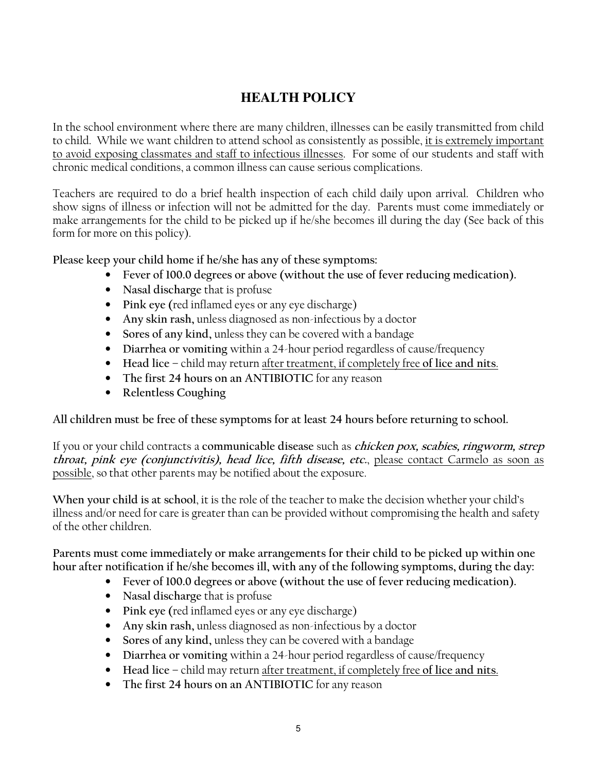# **HEALTH POLICY**

In the school environment where there are many children, illnesses can be easily transmitted from child to child. While we want children to attend school as consistently as possible, it is extremely important to avoid exposing classmates and staff to infectious illnesses. For some of our students and staff with chronic medical conditions, a common illness can cause serious complications.

Teachers are required to do a brief health inspection of each child daily upon arrival. Children who show signs of illness or infection will not be admitted for the day. Parents must come immediately or make arrangements for the child to be picked up if he/she becomes ill during the day (See back of this form for more on this policy).

**Please keep your child home if he/she has any of these symptoms:** 

- **Fever of 100.0 degrees or above (without the use of fever reducing medication).**
- **Nasal discharge** that is profuse
- **Pink eye (**red inflamed eyes or any eye discharge)
- **Any skin rash,** unless diagnosed as non-infectious by a doctor
- **Sores of any kind,** unless they can be covered with a bandage
- **Diarrhea or vomiting** within a 24-hour period regardless of cause/frequency
- **Head lice** child may return after treatment, if completely free **of lice and nits**.
- **The first 24 hours on an ANTIBIOTIC** for any reason
- **Relentless Coughing**

**All children must be free of these symptoms for at least 24 hours before returning to school.** 

If you or your child contracts a **communicable disease** such as **chicken pox, scabies, ringworm, strep throat, pink eye (conjunctivitis), head lice, fifth disease, etc.**, please contact Carmelo as soon as possible, so that other parents may be notified about the exposure.

**When your child is at school**, it is the role of the teacher to make the decision whether your child's illness and/or need for care is greater than can be provided without compromising the health and safety of the other children.

**Parents must come immediately or make arrangements for their child to be picked up within one hour after notification if he/she becomes ill, with any of the following symptoms, during the day:** 

- **Fever of 100.0 degrees or above (without the use of fever reducing medication).**
- **Nasal discharge** that is profuse
- **Pink eye (**red inflamed eyes or any eye discharge)
- **Any skin rash,** unless diagnosed as non-infectious by a doctor
- **Sores of any kind,** unless they can be covered with a bandage
- **Diarrhea or vomiting** within a 24-hour period regardless of cause/frequency
- **Head lice** child may return after treatment, if completely free **of lice and nits**.
- **The first 24 hours on an ANTIBIOTIC** for any reason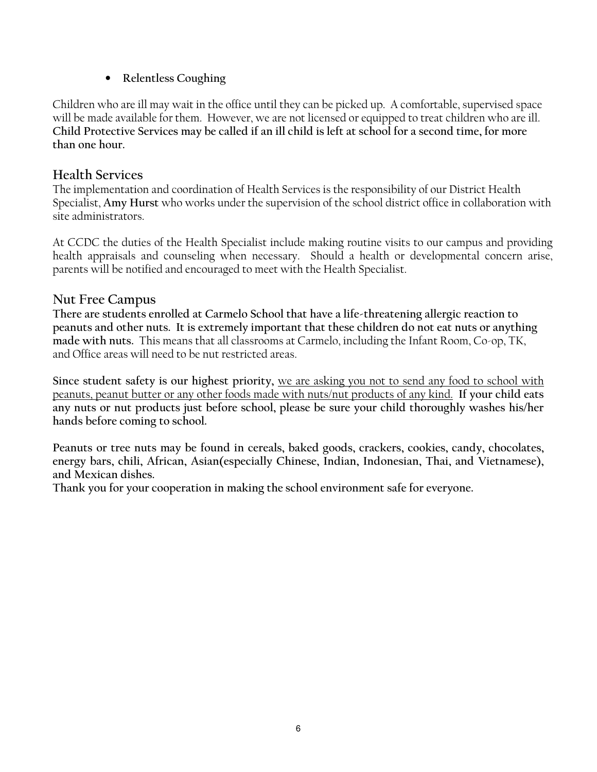## • **Relentless Coughing**

Children who are ill may wait in the office until they can be picked up. A comfortable, supervised space will be made available for them. However, we are not licensed or equipped to treat children who are ill. **Child Protective Services may be called if an ill child is left at school for a second time, for more than one hour.**

## **Health Services**

The implementation and coordination of Health Services is the responsibility of our District Health Specialist, **Amy Hurst** who works under the supervision of the school district office in collaboration with site administrators.

At CCDC the duties of the Health Specialist include making routine visits to our campus and providing health appraisals and counseling when necessary. Should a health or developmental concern arise, parents will be notified and encouraged to meet with the Health Specialist.

## **Nut Free Campus**

**There are students enrolled at Carmelo School that have a life-threatening allergic reaction to peanuts and other nuts. It is extremely important that these children do not eat nuts or anything made with nuts.** This means that all classrooms at Carmelo, including the Infant Room, Co-op, TK, and Office areas will need to be nut restricted areas.

**Since student safety is our highest priority,** we are asking you not to send any food to school with peanuts, peanut butter or any other foods made with nuts/nut products of any kind. **If your child eats any nuts or nut products just before school, please be sure your child thoroughly washes his/her hands before coming to school.** 

**Peanuts or tree nuts may be found in cereals, baked goods, crackers, cookies, candy, chocolates, energy bars, chili, African, Asian(especially Chinese, Indian, Indonesian, Thai, and Vietnamese), and Mexican dishes.** 

**Thank you for your cooperation in making the school environment safe for everyone.**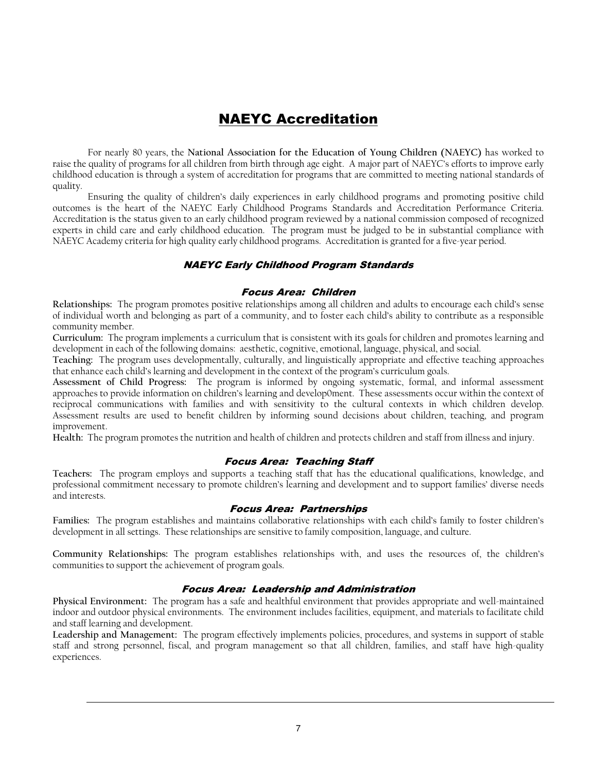# NAEYC Accreditation

For nearly 80 years, the **National Association for the Education of Young Children (NAEYC)** has worked to raise the quality of programs for all children from birth through age eight. A major part of NAEYC's efforts to improve early childhood education is through a system of accreditation for programs that are committed to meeting national standards of quality.

Ensuring the quality of children's daily experiences in early childhood programs and promoting positive child outcomes is the heart of the NAEYC Early Childhood Programs Standards and Accreditation Performance Criteria. Accreditation is the status given to an early childhood program reviewed by a national commission composed of recognized experts in child care and early childhood education. The program must be judged to be in substantial compliance with NAEYC Academy criteria for high quality early childhood programs. Accreditation is granted for a five-year period.

### NAEYC Early Childhood Program Standards

#### Focus Area: Children

**Relationships:** The program promotes positive relationships among all children and adults to encourage each child's sense of individual worth and belonging as part of a community, and to foster each child's ability to contribute as a responsible community member.

**Curriculum:** The program implements a curriculum that is consistent with its goals for children and promotes learning and development in each of the following domains: aesthetic, cognitive, emotional, language, physical, and social.

**Teaching:** The program uses developmentally, culturally, and linguistically appropriate and effective teaching approaches that enhance each child's learning and development in the context of the program's curriculum goals.

**Assessment of Child Progress:** The program is informed by ongoing systematic, formal, and informal assessment approaches to provide information on children's learning and develop0ment. These assessments occur within the context of reciprocal communications with families and with sensitivity to the cultural contexts in which children develop. Assessment results are used to benefit children by informing sound decisions about children, teaching, and program improvement.

**Health:** The program promotes the nutrition and health of children and protects children and staff from illness and injury.

### Focus Area: Teaching Staff

**Teachers:** The program employs and supports a teaching staff that has the educational qualifications, knowledge, and professional commitment necessary to promote children's learning and development and to support families' diverse needs and interests.

### Focus Area: Partnerships

**Families:** The program establishes and maintains collaborative relationships with each child's family to foster children's development in all settings. These relationships are sensitive to family composition, language, and culture.

**Community Relationships:** The program establishes relationships with, and uses the resources of, the children's communities to support the achievement of program goals.

### Focus Area: Leadership and Administration

**Physical Environment:** The program has a safe and healthful environment that provides appropriate and well-maintained indoor and outdoor physical environments. The environment includes facilities, equipment, and materials to facilitate child and staff learning and development.

**Leadership and Management:** The program effectively implements policies, procedures, and systems in support of stable staff and strong personnel, fiscal, and program management so that all children, families, and staff have high-quality experiences.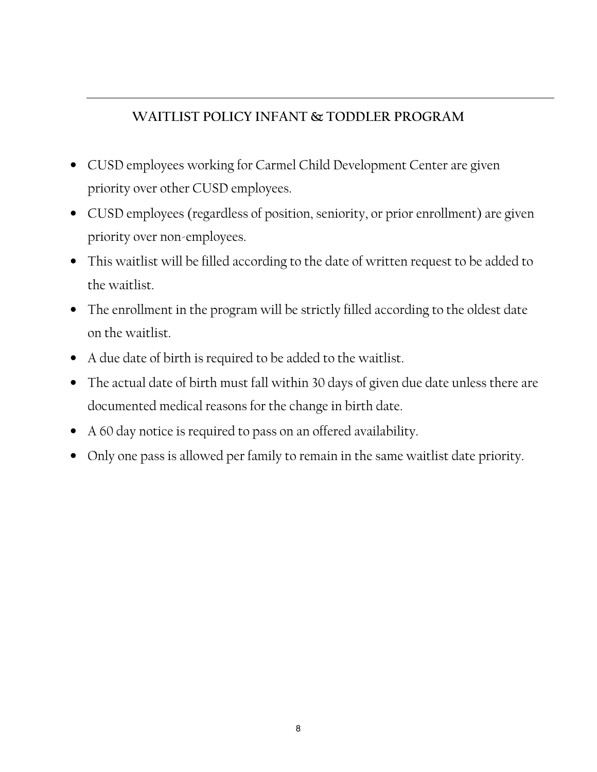# **WAITLIST POLICY INFANT & TODDLER PROGRAM**

- CUSD employees working for Carmel Child Development Center are given priority over other CUSD employees.
- CUSD employees (regardless of position, seniority, or prior enrollment) are given priority over non-employees.
- This waitlist will be filled according to the date of written request to be added to the waitlist.
- The enrollment in the program will be strictly filled according to the oldest date on the waitlist.
- A due date of birth is required to be added to the waitlist.
- The actual date of birth must fall within 30 days of given due date unless there are documented medical reasons for the change in birth date.
- A 60 day notice is required to pass on an offered availability.
- Only one pass is allowed per family to remain in the same waitlist date priority.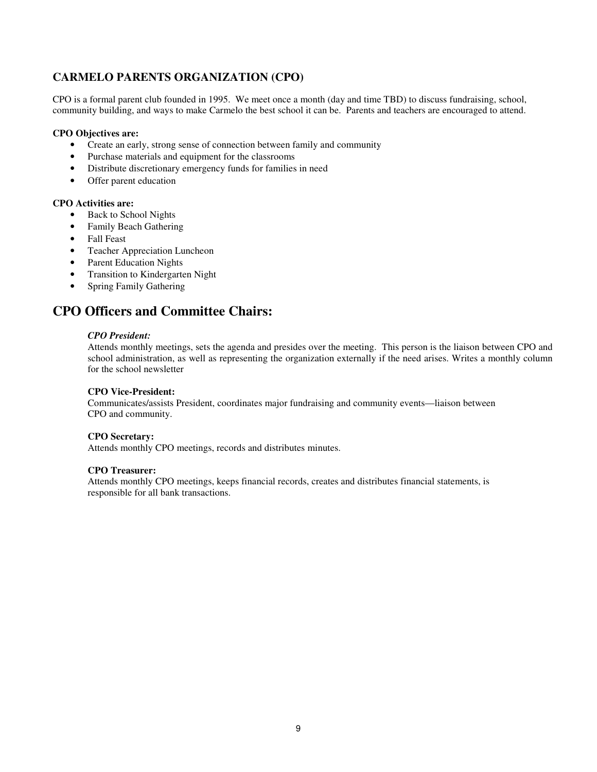### **CARMELO PARENTS ORGANIZATION (CPO)**

CPO is a formal parent club founded in 1995. We meet once a month (day and time TBD) to discuss fundraising, school, community building, and ways to make Carmelo the best school it can be. Parents and teachers are encouraged to attend.

### **CPO Objectives are:**

- Create an early, strong sense of connection between family and community
- Purchase materials and equipment for the classrooms
- Distribute discretionary emergency funds for families in need
- Offer parent education

### **CPO Activities are:**

- Back to School Nights
- Family Beach Gathering
- Fall Feast
- Teacher Appreciation Luncheon
- Parent Education Nights
- Transition to Kindergarten Night
- Spring Family Gathering

# **CPO Officers and Committee Chairs:**

#### *CPO President:*

 Attends monthly meetings, sets the agenda and presides over the meeting. This person is the liaison between CPO and school administration, as well as representing the organization externally if the need arises. Writes a monthly column for the school newsletter

### **CPO Vice-President:**

 Communicates/assists President, coordinates major fundraising and community events—liaison between CPO and community.

#### **CPO Secretary:**

Attends monthly CPO meetings, records and distributes minutes.

#### **CPO Treasurer:**

 Attends monthly CPO meetings, keeps financial records, creates and distributes financial statements, is responsible for all bank transactions.